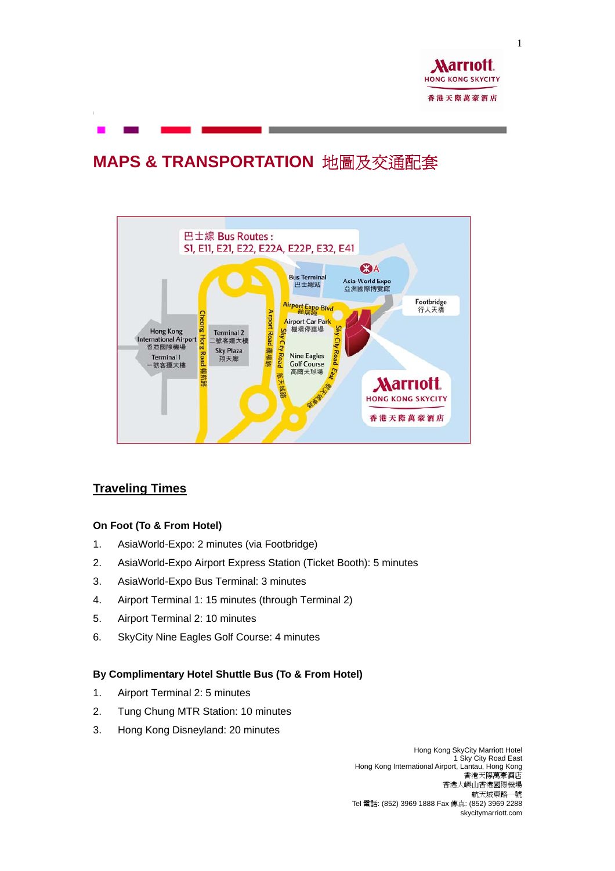

# **MAPS & TRANSPORTATION** 地圖及交通配套



# **Traveling Times**

#### **On Foot (To & From Hotel)**

- 1. AsiaWorld-Expo: 2 minutes (via Footbridge)
- 2. AsiaWorld-Expo Airport Express Station (Ticket Booth): 5 minutes
- 3. AsiaWorld-Expo Bus Terminal: 3 minutes
- 4. Airport Terminal 1: 15 minutes (through Terminal 2)
- 5. Airport Terminal 2: 10 minutes
- 6. SkyCity Nine Eagles Golf Course: 4 minutes

#### **By Complimentary Hotel Shuttle Bus (To & From Hotel)**

- 1. Airport Terminal 2: 5 minutes
- 2. Tung Chung MTR Station: 10 minutes
- 3. Hong Kong Disneyland: 20 minutes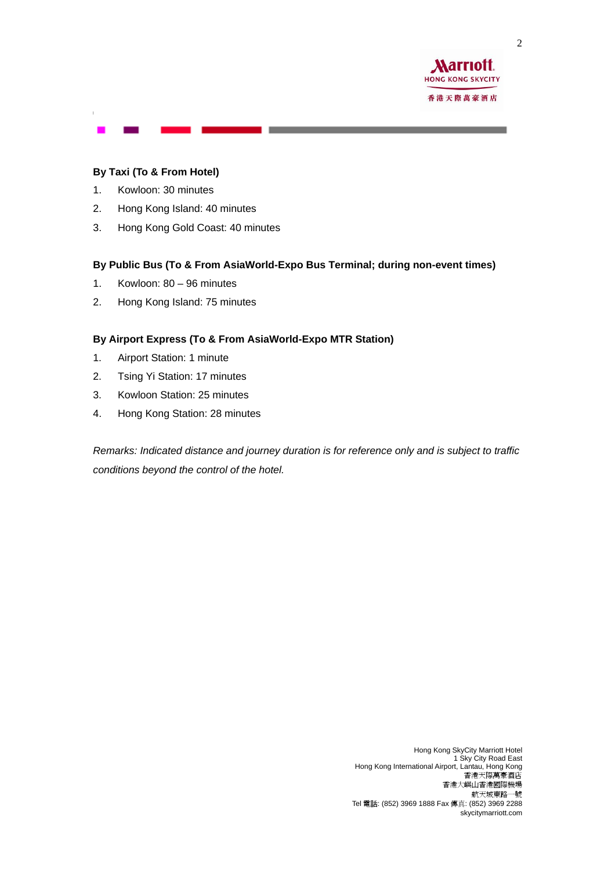

#### **By Taxi (To & From Hotel)**

- 1. Kowloon: 30 minutes
- 2. Hong Kong Island: 40 minutes
- 3. Hong Kong Gold Coast: 40 minutes

#### **By Public Bus (To & From AsiaWorld-Expo Bus Terminal; during non-event times)**

- 1. Kowloon: 80 96 minutes
- 2. Hong Kong Island: 75 minutes

#### **By Airport Express (To & From AsiaWorld-Expo MTR Station)**

- 1. Airport Station: 1 minute
- 2. Tsing Yi Station: 17 minutes
- 3. Kowloon Station: 25 minutes
- 4. Hong Kong Station: 28 minutes

*Remarks: Indicated distance and journey duration is for reference only and is subject to traffic conditions beyond the control of the hotel.*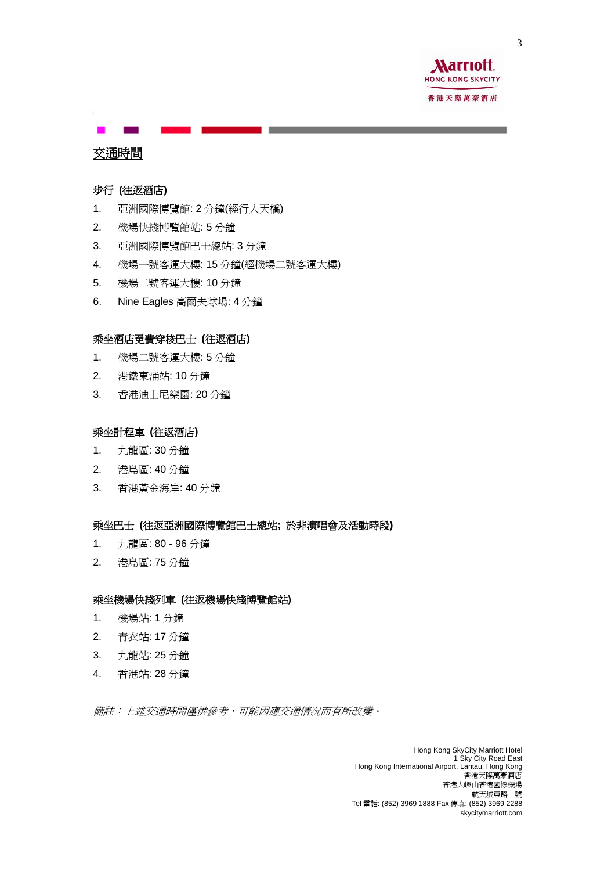

## 交通時間

#### 步行 **(**往返酒店**)**

- 1. 亞洲國際博覽館: 2 分鐘(經行人天橋)
- 2. 機場快綫博覽館站: 5 分鐘
- 3. 亞洲國際博覽館巴士總站: 3 分鐘
- 4. 機場一號客運大樓: 15 分鐘(經機場二號客運大樓)
- 5. 機場二號客運大樓: 10 分鐘
- 6. Nine Eagles 高爾夫球場: 4 分鐘

#### 乘坐酒店免費穿梭巴士 **(**往返酒店**)**

- 1. 機場二號客運大樓: 5 分鐘
- 2. 港鐵東涌站: 10 分鐘
- 3. 香港迪士尼樂園: 20 分鐘

#### 乘坐計程車 **(**往返酒店**)**

- 1. 九龍區: 30 分鐘
- 2. 港島區: 40 分鐘
- 3. 香港黃金海岸: 40 分鐘

#### 乘坐巴士 **(**往返亞洲國際博覽館巴士總站**;** 於非演唱會及活動時段**)**

- 1. 九龍區: 80 96 分鐘
- 2. 港島區: 75 分鐘

#### 乘坐機場快綫列車 **(**往返機場快綫博覽館站**)**

- 1. 機場站: 1 分鐘
- 2. 青衣站: 17 分鐘
- 3. 九龍站: 25 分鐘
- 4. 香港站: 28 分鐘

備註:上述交通時間僅供參考,可能因應交通情况而有所改變。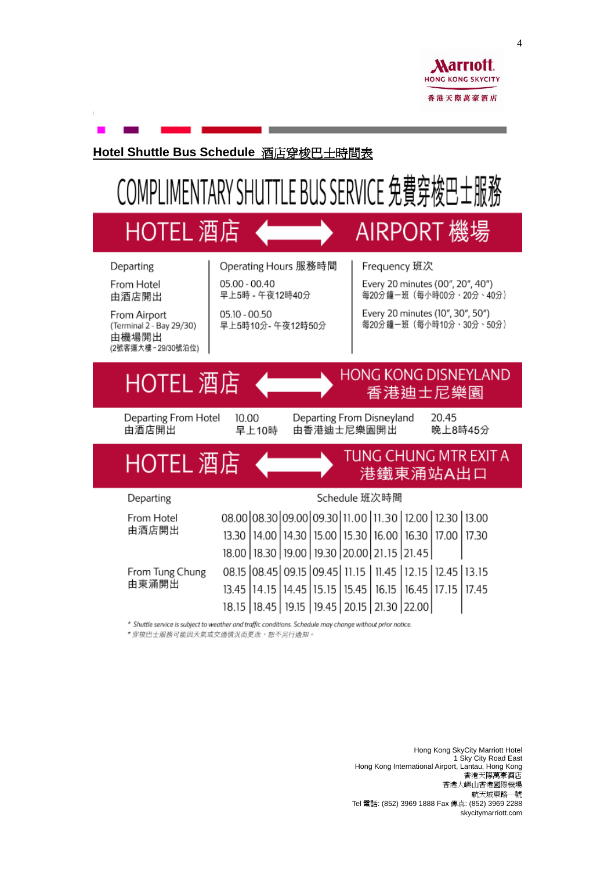

### Hotel Shuttle Bus Schedule 酒店穿梭巴士時間表

# COMPLIMENTARY SHUTTLE BUS SERVICE 免費穿梭巴士服務

# HOTEL 酒店

# AIRPORT 機場

# Departing

From Hotel 由酒店開出

From Airport (Terminal 2 - Bay 29/30) 由機場開出 (2號客運大樓-29/30號泊位) Operating Hours 服務時間 05.00 - 00.40 早上5時 - 午夜12時40分

 $05.10 - 00.50$ 早上5時10分-午夜12時50分 Frequency 班次

Every 20 minutes (00", 20", 40") 每20分鐘一班(每小時00分、20分、40分)

Every 20 minutes (10", 30", 50") 每20分鐘一班(每小時10分、30分、50分)

**HONG KONG DISNEYLAND** 

香港迪士尼樂園

# HOTEL 酒店

HOTEL 酒店

Departing From Hotel 由洒店開出

Departing

From Hotel 由酒店開出 10.00 早上10時 Departing From Disnevland 由香港油土尼樂園開出

20.45 晚上8時45分



18.00 | 18.30 | 19.00 | 19.30 | 20.00 | 21.15 | 21.45 | 00 te loo 45 Loo 15 Loo 45 Lui 15 Lui 45 Lui 15 Lui

| From Tung Chung<br>由東涌開出 | 08.15 08.45 09.15 09.45 11.15 11.45 12.15 12.45 13.15                 |  |  |  |  |
|--------------------------|-----------------------------------------------------------------------|--|--|--|--|
|                          | 13.45   14.15   14.45   15.15   15.45   16.15   16.45   17.15   17.45 |  |  |  |  |
|                          | 18.15   18.45   19.15   19.45   20.15   21.30   22.00                 |  |  |  |  |

\* Shuttle service is subject to weather and traffic conditions. Schedule may change without prior notice.

\*穿梭巴士服務可能因天氣或交通情況而更改,恕不另行通知。